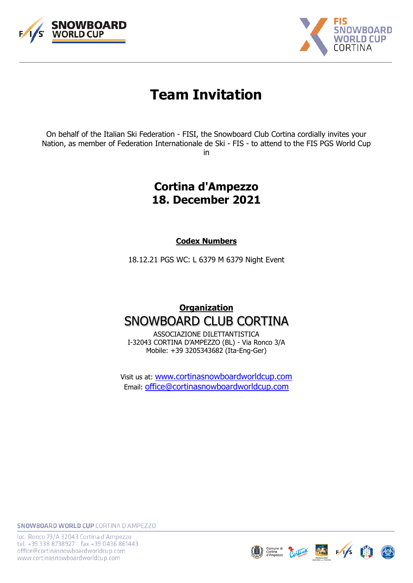



# **Team Invitation**

On behalf of the Italian Ski Federation - FISI, the Snowboard Club Cortina cordially invites your Nation, as member of Federation Internationale de Ski - FIS - to attend to the FIS PGS World Cup in

# **Cortina d'Ampezzo 18. December 2021**

**Codex Numbers**

18.12.21 PGS WC: L 6379 M 6379 Night Event

# **Organization** SNOWBOARD CLUB CORTINA

ASSOCIAZIONE DILETTANTISTICA I-32043 CORTINA D'AMPEZZO (BL) - Via Ronco 3/A Mobile: +39 3205343682 (Ita-Eng-Ger)

Visit us at: [www.c](http://www.snowboardclubcortina.com/)ortinasnowboardworldcup.com Email: [office@cortinasnowboardworldcup.com](mailto:office@cortinasnowboardworldcup.com)



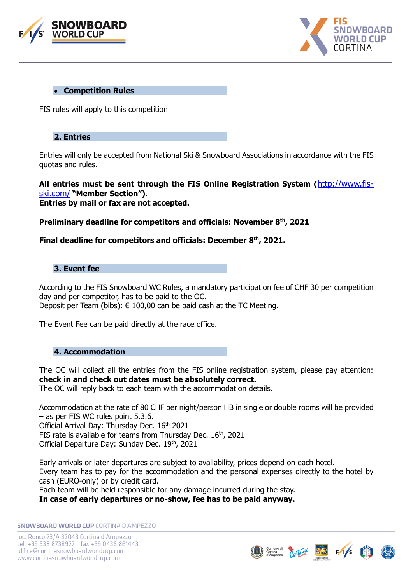



#### • **Competition Rules**

FIS rules will apply to this competition

# **2. Entries**

Entries will only be accepted from National Ski & Snowboard Associations in accordance with the FIS quotas and rules.

**All entries must be sent through the FIS Online Registration System (**[http://www.fis](http://www.fis-ski.com/)[ski.com/](http://www.fis-ski.com/) **"Member Section"). Entries by mail or fax are not accepted.** 

**Preliminary deadline for competitors and officials: November 8 th , 2021**

# **Final deadline for competitors and officials: December 8 th, 2021.**

# **3. Event fee**

According to the FIS Snowboard WC Rules, a mandatory participation fee of CHF 30 per competition day and per competitor, has to be paid to the OC. Deposit per Team (bibs):  $\epsilon$  100,00 can be paid cash at the TC Meeting.

The Event Fee can be paid directly at the race office.

## **4. Accommodation**

The OC will collect all the entries from the FIS online registration system, please pay attention: **check in and check out dates must be absolutely correct.**

The OC will reply back to each team with the accommodation details.

Accommodation at the rate of 80 CHF per night/person HB in single or double rooms will be provided – as per FIS WC rules point 5.3.6. Official Arrival Day: Thursday Dec. 16<sup>th</sup> 2021 FIS rate is available for teams from Thursday Dec.  $16<sup>th</sup>$ , 2021 Official Departure Day: Sunday Dec. 19th, 2021

Early arrivals or later departures are subject to availability, prices depend on each hotel. Every team has to pay for the accommodation and the personal expenses directly to the hotel by cash (EURO-only) or by credit card. Each team will be held responsible for any damage incurred during the stay.

**In case of early departures or no-show, fee has to be paid anyway.**



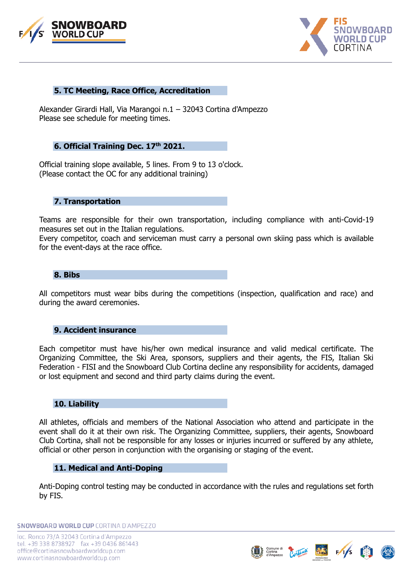



#### **5. TC Meeting, Race Office, Accreditation**

Alexander Girardi Hall, Via Marangoi n.1 – 32043 Cortina d'Ampezzo Please see schedule for meeting times.

### **6. Official Training Dec. 17 th 2021.**

Official training slope available, 5 lines. From 9 to 13 o'clock. (Please contact the OC for any additional training)

#### **7. Transportation**

Teams are responsible for their own transportation, including compliance with anti-Covid-19 measures set out in the Italian regulations.

Every competitor, coach and serviceman must carry a personal own skiing pass which is available for the event-days at the race office.

#### **8. Bibs**

All competitors must wear bibs during the competitions (inspection, qualification and race) and during the award ceremonies.

#### **9. Accident insurance**

Each competitor must have his/her own medical insurance and valid medical certificate. The Organizing Committee, the Ski Area, sponsors, suppliers and their agents, the FIS, Italian Ski Federation - FISI and the Snowboard Club Cortina decline any responsibility for accidents, damaged or lost equipment and second and third party claims during the event.

#### **10. Liability**

All athletes, officials and members of the National Association who attend and participate in the event shall do it at their own risk. The Organizing Committee, suppliers, their agents, Snowboard Club Cortina, shall not be responsible for any losses or injuries incurred or suffered by any athlete, official or other person in conjunction with the organising or staging of the event.

#### **11. Medical and Anti-Doping**

Anti-Doping control testing may be conducted in accordance with the rules and regulations set forth by FIS.

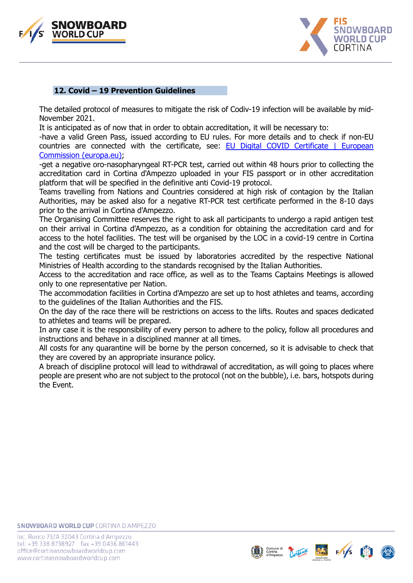



### **12. Covid – 19 Prevention Guidelines**

The detailed protocol of measures to mitigate the risk of Codiv-19 infection will be available by mid-November 2021.

It is anticipated as of now that in order to obtain accreditation, it will be necessary to:

-have a valid Green Pass, issued according to EU rules. For more details and to check if non-EU countries are connected with the certificate, see: **EU Digital COVID Certificate** | European [Commission \(europa.eu\);](https://ec.europa.eu/info/live-work-travel-eu/coronavirus-response/safe-covid-19-vaccines-europeans/eu-digital-covid-certificate_en)

-get a negative oro-nasopharyngeal RT-PCR test, carried out within 48 hours prior to collecting the accreditation card in Cortina d'Ampezzo uploaded in your FIS passport or in other accreditation platform that will be specified in the definitive anti Covid-19 protocol.

Teams travelling from Nations and Countries considered at high risk of contagion by the Italian Authorities, may be asked also for a negative RT-PCR test certificate performed in the 8-10 days prior to the arrival in Cortina d'Ampezzo.

The Organising Committee reserves the right to ask all participants to undergo a rapid antigen test on their arrival in Cortina d'Ampezzo, as a condition for obtaining the accreditation card and for access to the hotel facilities. The test will be organised by the LOC in a covid-19 centre in Cortina and the cost will be charged to the participants.

The testing certificates must be issued by laboratories accredited by the respective National Ministries of Health according to the standards recognised by the Italian Authorities.

Access to the accreditation and race office, as well as to the Teams Captains Meetings is allowed only to one representative per Nation.

The accommodation facilities in Cortina d'Ampezzo are set up to host athletes and teams, according to the guidelines of the Italian Authorities and the FIS.

On the day of the race there will be restrictions on access to the lifts. Routes and spaces dedicated to athletes and teams will be prepared.

In any case it is the responsibility of every person to adhere to the policy, follow all procedures and instructions and behave in a disciplined manner at all times.

All costs for any quarantine will be borne by the person concerned, so it is advisable to check that they are covered by an appropriate insurance policy.

A breach of discipline protocol will lead to withdrawal of accreditation, as will going to places where people are present who are not subject to the protocol (not on the bubble), i.e. bars, hotspots during the Event.